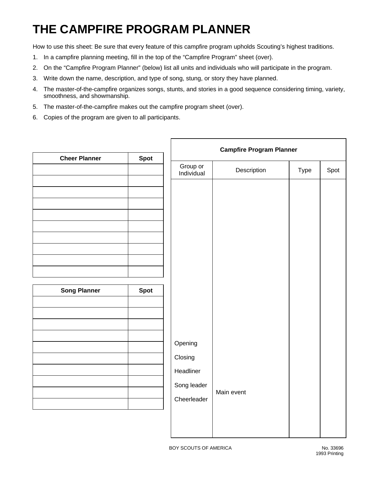## **THE CAMPFIRE PROGRAM PLANNER**

How to use this sheet: Be sure that every feature of this campfire program upholds Scouting's highest traditions.

- 1. In a campfire planning meeting, fill in the top of the "Campfire Program" sheet (over).
- 2. On the "Campfire Program Planner" (below) list all units and individuals who will participate in the program.
- 3. Write down the name, description, and type of song, stung, or story they have planned.
- 4. The master-of-the-campfire organizes songs, stunts, and stories in a good sequence considering timing, variety, smoothness, and showmanship.
- 5. The master-of-the-campfire makes out the campfire program sheet (over).
- 6. Copies of the program are given to all participants.

| <b>Cheer Planner</b> | <b>Spot</b> | <b>Campfire Program Planner</b> |             |      |      |
|----------------------|-------------|---------------------------------|-------------|------|------|
|                      |             | Group or<br>Individual          | Description | Type | Spot |
|                      |             |                                 |             |      |      |
|                      |             |                                 |             |      |      |
|                      |             |                                 |             |      |      |
|                      |             |                                 |             |      |      |
|                      |             |                                 |             |      |      |
| <b>Song Planner</b>  | <b>Spot</b> |                                 |             |      |      |
|                      |             |                                 |             |      |      |
|                      |             |                                 |             |      |      |
|                      |             | Opening                         |             |      |      |
|                      |             | Closing                         |             |      |      |
|                      |             | Headliner<br>Song leader        |             |      |      |
|                      |             | Cheerleader                     | Main event  |      |      |
|                      |             |                                 |             |      |      |
|                      |             |                                 |             |      |      |